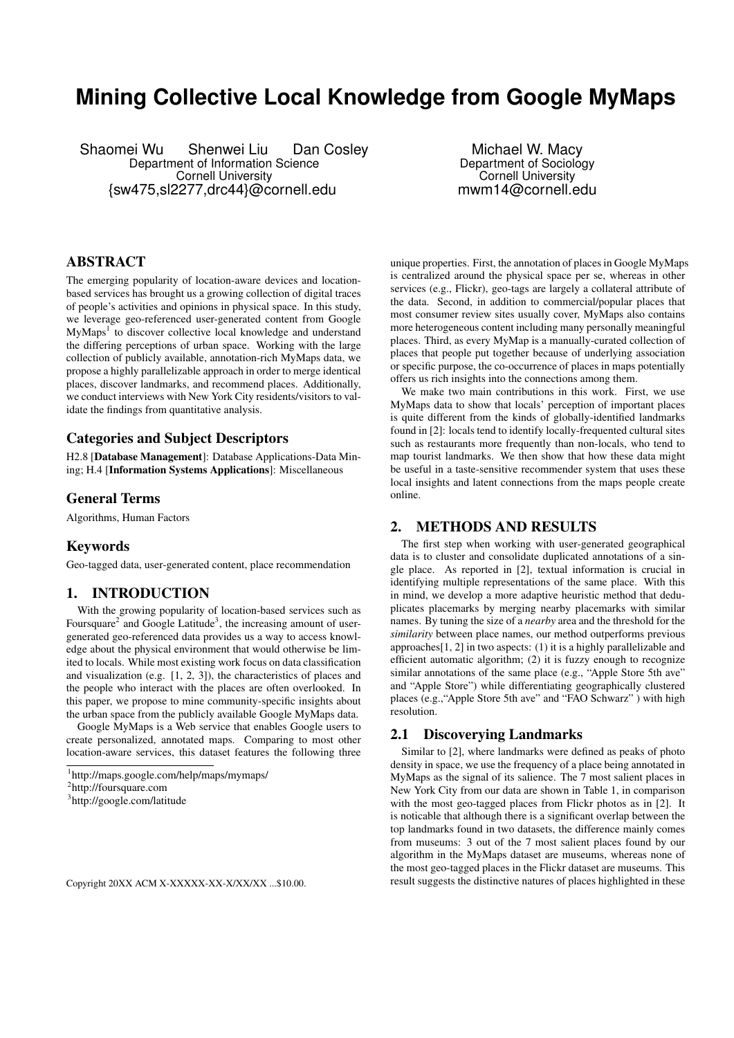# **Mining Collective Local Knowledge from Google MyMaps**

Shaomei Wu Shenwei Liu Dan Cosley Department of Information Science Cornell University {sw475,sl2277,drc44}@cornell.edu

Michael W. Macy Department of Sociology Cornell University mwm14@cornell.edu

# ABSTRACT

The emerging popularity of location-aware devices and locationbased services has brought us a growing collection of digital traces of people's activities and opinions in physical space. In this study, we leverage geo-referenced user-generated content from Google MyMaps<sup>1</sup> to discover collective local knowledge and understand the differing perceptions of urban space. Working with the large collection of publicly available, annotation-rich MyMaps data, we propose a highly parallelizable approach in order to merge identical places, discover landmarks, and recommend places. Additionally, we conduct interviews with New York City residents/visitors to validate the findings from quantitative analysis.

# Categories and Subject Descriptors

H2.8 [Database Management]: Database Applications-Data Mining; H.4 [Information Systems Applications]: Miscellaneous

## General Terms

Algorithms, Human Factors

## Keywords

Geo-tagged data, user-generated content, place recommendation

# 1. INTRODUCTION

With the growing popularity of location-based services such as Foursquare<sup>2</sup> and Google Latitude<sup>3</sup>, the increasing amount of usergenerated geo-referenced data provides us a way to access knowledge about the physical environment that would otherwise be limited to locals. While most existing work focus on data classification and visualization (e.g. [1, 2, 3]), the characteristics of places and the people who interact with the places are often overlooked. In this paper, we propose to mine community-specific insights about the urban space from the publicly available Google MyMaps data.

Google MyMaps is a Web service that enables Google users to create personalized, annotated maps. Comparing to most other location-aware services, this dataset features the following three

Copyright 20XX ACM X-XXXXX-XX-X/XX/XX ...\$10.00.

unique properties. First, the annotation of places in Google MyMaps is centralized around the physical space per se, whereas in other services (e.g., Flickr), geo-tags are largely a collateral attribute of the data. Second, in addition to commercial/popular places that most consumer review sites usually cover, MyMaps also contains more heterogeneous content including many personally meaningful places. Third, as every MyMap is a manually-curated collection of places that people put together because of underlying association or specific purpose, the co-occurrence of places in maps potentially offers us rich insights into the connections among them.

We make two main contributions in this work. First, we use MyMaps data to show that locals' perception of important places is quite different from the kinds of globally-identified landmarks found in [2]: locals tend to identify locally-frequented cultural sites such as restaurants more frequently than non-locals, who tend to map tourist landmarks. We then show that how these data might be useful in a taste-sensitive recommender system that uses these local insights and latent connections from the maps people create online.

#### 2. METHODS AND RESULTS

The first step when working with user-generated geographical data is to cluster and consolidate duplicated annotations of a single place. As reported in [2], textual information is crucial in identifying multiple representations of the same place. With this in mind, we develop a more adaptive heuristic method that deduplicates placemarks by merging nearby placemarks with similar names. By tuning the size of a *nearby* area and the threshold for the *similarity* between place names, our method outperforms previous approaches[1, 2] in two aspects: (1) it is a highly parallelizable and efficient automatic algorithm; (2) it is fuzzy enough to recognize similar annotations of the same place (e.g., "Apple Store 5th ave" and "Apple Store") while differentiating geographically clustered places (e.g.,"Apple Store 5th ave" and "FAO Schwarz" ) with high resolution.

#### 2.1 Discoverying Landmarks

Similar to [2], where landmarks were defined as peaks of photo density in space, we use the frequency of a place being annotated in MyMaps as the signal of its salience. The 7 most salient places in New York City from our data are shown in Table 1, in comparison with the most geo-tagged places from Flickr photos as in [2]. It is noticable that although there is a significant overlap between the top landmarks found in two datasets, the difference mainly comes from museums: 3 out of the 7 most salient places found by our algorithm in the MyMaps dataset are museums, whereas none of the most geo-tagged places in the Flickr dataset are museums. This result suggests the distinctive natures of places highlighted in these

<sup>1</sup> http://maps.google.com/help/maps/mymaps/

<sup>2</sup> http://foursquare.com

<sup>3</sup> http://google.com/latitude